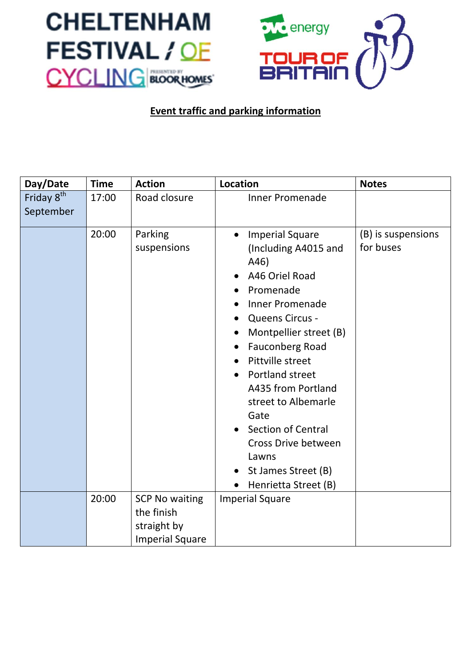



## **Event traffic and parking information**

| Day/Date                            | <b>Time</b> | <b>Action</b>                                                                | <b>Location</b>                                                                                                                                                                                                                                                                                                                                                                                                                                                              | <b>Notes</b>                    |
|-------------------------------------|-------------|------------------------------------------------------------------------------|------------------------------------------------------------------------------------------------------------------------------------------------------------------------------------------------------------------------------------------------------------------------------------------------------------------------------------------------------------------------------------------------------------------------------------------------------------------------------|---------------------------------|
| Friday 8 <sup>th</sup><br>September | 17:00       | Road closure                                                                 | <b>Inner Promenade</b>                                                                                                                                                                                                                                                                                                                                                                                                                                                       |                                 |
|                                     | 20:00       | Parking<br>suspensions                                                       | <b>Imperial Square</b><br>$\bullet$<br>(Including A4015 and<br>A46)<br>A46 Oriel Road<br>Promenade<br><b>Inner Promenade</b><br>Queens Circus -<br>$\bullet$<br>Montpellier street (B)<br>$\bullet$<br><b>Fauconberg Road</b><br>$\bullet$<br>Pittville street<br>Portland street<br>A435 from Portland<br>street to Albemarle<br>Gate<br><b>Section of Central</b><br>Cross Drive between<br>Lawns<br>St James Street (B)<br>$\bullet$<br>Henrietta Street (B)<br>$\bullet$ | (B) is suspensions<br>for buses |
|                                     | 20:00       | <b>SCP No waiting</b><br>the finish<br>straight by<br><b>Imperial Square</b> | <b>Imperial Square</b>                                                                                                                                                                                                                                                                                                                                                                                                                                                       |                                 |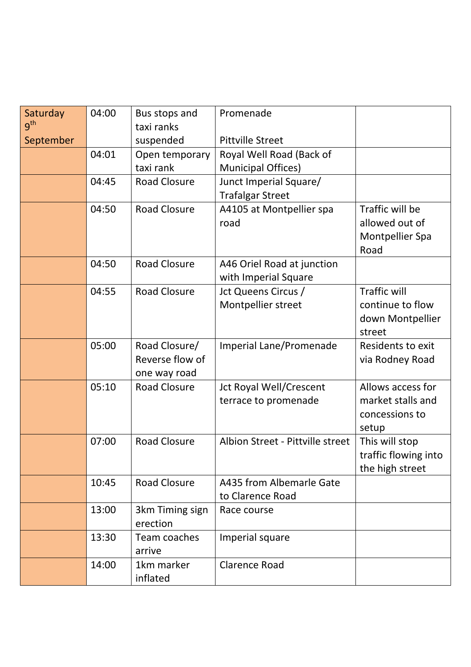| Saturday<br>9 <sup>th</sup> | 04:00 | Bus stops and<br>taxi ranks      | Promenade                        |                                      |
|-----------------------------|-------|----------------------------------|----------------------------------|--------------------------------------|
| September                   |       | suspended                        | <b>Pittville Street</b>          |                                      |
|                             | 04:01 | Open temporary                   | Royal Well Road (Back of         |                                      |
|                             |       | taxi rank                        | <b>Municipal Offices)</b>        |                                      |
|                             | 04:45 | <b>Road Closure</b>              | Junct Imperial Square/           |                                      |
|                             |       |                                  | <b>Trafalgar Street</b>          |                                      |
|                             | 04:50 | <b>Road Closure</b>              | A4105 at Montpellier spa         | Traffic will be                      |
|                             |       |                                  | road                             | allowed out of                       |
|                             |       |                                  |                                  | <b>Montpellier Spa</b>               |
|                             |       |                                  |                                  | Road                                 |
|                             | 04:50 | <b>Road Closure</b>              | A46 Oriel Road at junction       |                                      |
|                             |       |                                  | with Imperial Square             |                                      |
|                             | 04:55 | <b>Road Closure</b>              | Jct Queens Circus /              | <b>Traffic will</b>                  |
|                             |       |                                  | Montpellier street               | continue to flow                     |
|                             |       |                                  |                                  | down Montpellier                     |
|                             |       |                                  |                                  | street                               |
|                             | 05:00 | Road Closure/<br>Reverse flow of | Imperial Lane/Promenade          | Residents to exit<br>via Rodney Road |
|                             |       | one way road                     |                                  |                                      |
|                             | 05:10 | <b>Road Closure</b>              | <b>Jct Royal Well/Crescent</b>   | Allows access for                    |
|                             |       |                                  | terrace to promenade             | market stalls and                    |
|                             |       |                                  |                                  | concessions to                       |
|                             |       |                                  |                                  | setup                                |
|                             | 07:00 | <b>Road Closure</b>              | Albion Street - Pittville street | This will stop                       |
|                             |       |                                  |                                  | traffic flowing into                 |
|                             |       |                                  |                                  | the high street                      |
|                             | 10:45 | <b>Road Closure</b>              | A435 from Albemarle Gate         |                                      |
|                             |       |                                  | to Clarence Road                 |                                      |
|                             | 13:00 | 3km Timing sign                  | Race course                      |                                      |
|                             |       | erection                         |                                  |                                      |
|                             | 13:30 | Team coaches<br>arrive           | Imperial square                  |                                      |
|                             | 14:00 | 1km marker<br>inflated           | <b>Clarence Road</b>             |                                      |